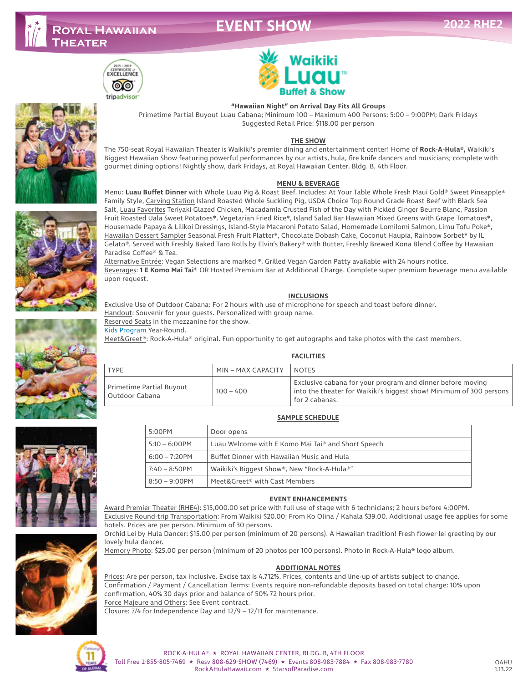# **EVENT SHOW**













## **"Hawaiian Night" on Arrival Day Fits All Groups**

Primetime Partial Buyout Luau Cabana; Minimum 100 – Maximum 400 Persons; 5:00 – 9:00PM; Dark Fridays Suggested Retail Price: \$118.00 per person

### **THE SHOW**

The 750-seat Royal Hawaiian Theater is Waikiki's premier dining and entertainment center! Home of **Rock-A-Hula®,** Waikiki's Biggest Hawaiian Show featuring powerful performances by our artists, hula, fire knife dancers and musicians; complete with gourmet dining options! Nightly show, dark Fridays, at Royal Hawaiian Center, Bldg. B, 4th Floor.

#### **MENU & BEVERAGE**

Menu: **Luau Buffet Dinner** with Whole Luau Pig & Roast Beef. Includes: At Your Table Whole Fresh Maui Gold® Sweet Pineapple❋ Family Style, Carving Station Island Roasted Whole Suckling Pig, USDA Choice Top Round Grade Roast Beef with Black Sea Salt, Luau Favorites Teriyaki Glazed Chicken, Macadamia Crusted Fish of the Day with Pickled Ginger Beurre Blanc, Passion Fruit Roasted Uala Sweet Potatoes❋, Vegetarian Fried Rice❋, Island Salad Bar Hawaiian Mixed Greens with Grape Tomatoes❋, Housemade Papaya & Lilikoi Dressings, Island-Style Macaroni Potato Salad, Homemade Lomilomi Salmon, Limu Tofu Poke❋, Hawaiian Dessert Sampler Seasonal Fresh Fruit Platter\*, Chocolate Dobash Cake, Coconut Haupia, Rainbow Sorbet\* by IL Gelato®. Served with Freshly Baked Taro Rolls by Elvin's Bakery® with Butter, Freshly Brewed Kona Blend Coffee by Hawaiian Paradise Coffee® & Tea.

Alternative Entrée: Vegan Selections are marked ❋. Grilled Vegan Garden Patty available with 24 hours notice. Beverages: **1 E Komo Mai Tai**® OR Hosted Premium Bar at Additional Charge. Complete super premium beverage menu available upon request.

### **INCLUSIONS**

Exclusive Use of Outdoor Cabana: For 2 hours with use of microphone for speech and toast before dinner. Handout: Souvenir for your guests. Personalized with group name. Reserved Seats in the mezzanine for the show. Kids Program Year-Round.

Meet&Greet®: Rock-A-Hula® original. Fun opportunity to get autographs and take photos with the cast members.

#### **FACILITIES**

| <b>TYPE</b>                                  | MIN - MAX CAPACITY | <b>NOTES</b>                                                                                                                                        |
|----------------------------------------------|--------------------|-----------------------------------------------------------------------------------------------------------------------------------------------------|
| Primetime Partial Buyout<br>' Outdoor Cabana | $100 - 400$        | Exclusive cabana for your program and dinner before moving<br>into the theater for Waikiki's biggest show! Minimum of 300 persons<br>for 2 cabanas. |



### **SAMPLE SCHEDULE**

| 5:00PM           | Door opens                                                     |  |
|------------------|----------------------------------------------------------------|--|
| $5:10 - 6:00$ PM | Luau Welcome with E Komo Mai Tai <sup>®</sup> and Short Speech |  |
| $6:00 - 7:20$ PM | Buffet Dinner with Hawaiian Music and Hula                     |  |
| $7:40 - 8:50$ PM | Waikiki's Biggest Show®, New "Rock-A-Hula®"                    |  |
| $8:50 - 9:00$ PM | Meet&Greet® with Cast Members                                  |  |

### **EVENT ENHANCEMENTS**

Award Premier Theater (RHE4): \$15,000.00 set price with full use of stage with 6 technicians; 2 hours before 4:00PM. Exclusive Round-trip Transportation: From Waikiki \$20.00; From Ko Olina / Kahala \$39.00. Additional usage fee applies for some

hotels. Prices are per person. Minimum of 30 persons. Orchid Lei by Hula Dancer: \$15.00 per person (minimum of 20 persons). A Hawaiian tradition! Fresh flower lei greeting by our

lovely hula dancer.

Memory Photo: \$25.00 per person (minimum of 20 photos per 100 persons). Photo in Rock-A-Hula**®** logo album.

### **ADDITIONAL NOTES**

Prices: Are per person, tax inclusive. Excise tax is 4.712%. Prices, contents and line-up of artists subject to change. Confirmation / Payment / Cancellation Terms: Events require non-refundable deposits based on total charge: 10% upon confirmation, 40% 30 days prior and balance of 50% 72 hours prior. Force Majeure and Others: See Event contract. Closure: 7/4 for Independence Day and 12/9 – 12/11 for maintenance.